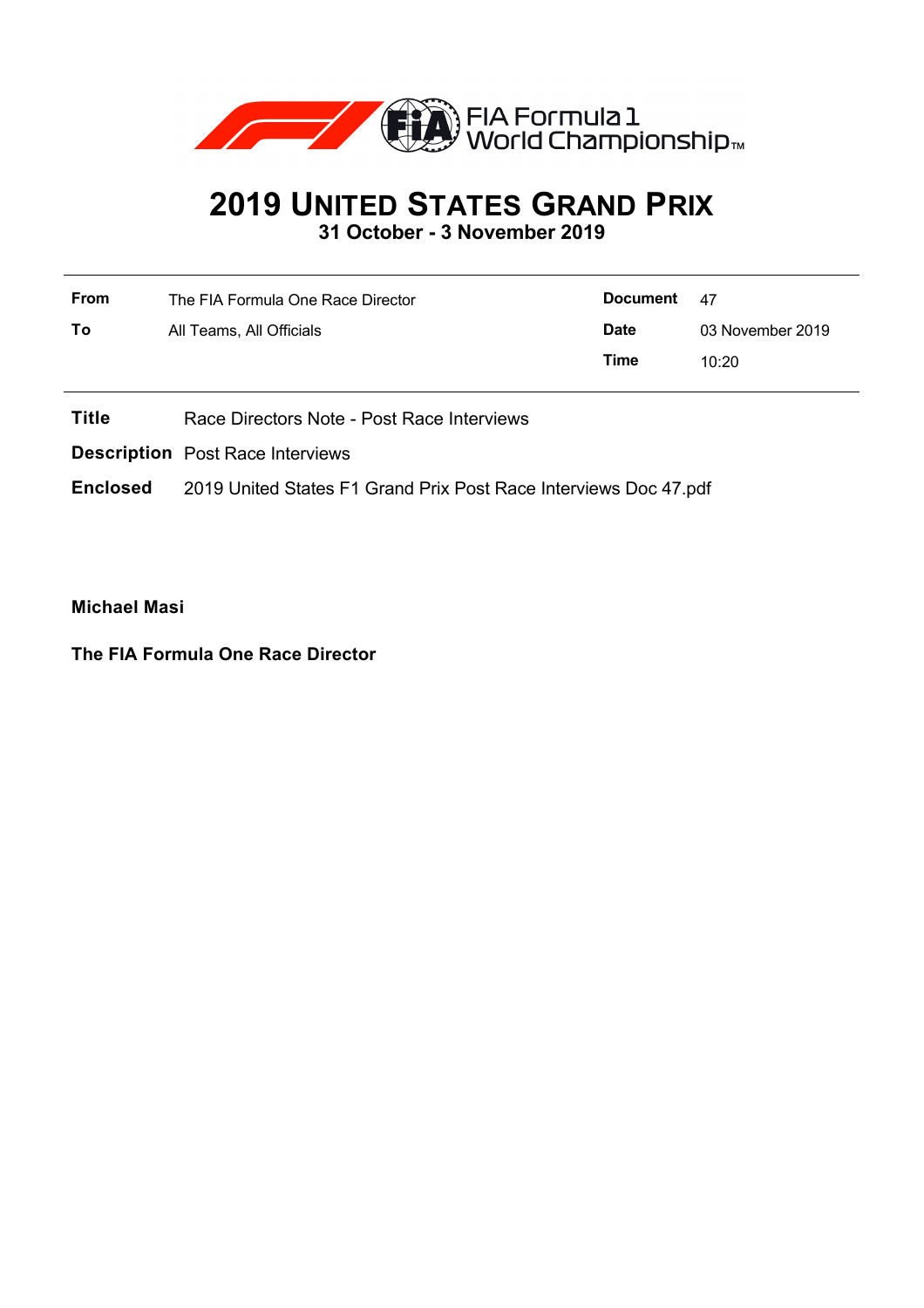

## **2019 UNITED STATES GRAND PRIX**

**31 October - 3 November 2019**

| <b>From</b> | The FIA Formula One Race Director | <b>Document</b> | - 47             |
|-------------|-----------------------------------|-----------------|------------------|
| To          | All Teams, All Officials          | <b>Date</b>     | 03 November 2019 |
|             |                                   | Time            | 10:20            |
|             |                                   |                 |                  |

**Title** Race Directors Note - Post Race Interviews

**Description** Post Race Interviews

**Enclosed** 2019 United States F1 Grand Prix Post Race Interviews Doc 47.pdf

**Michael Masi**

**The FIA Formula One Race Director**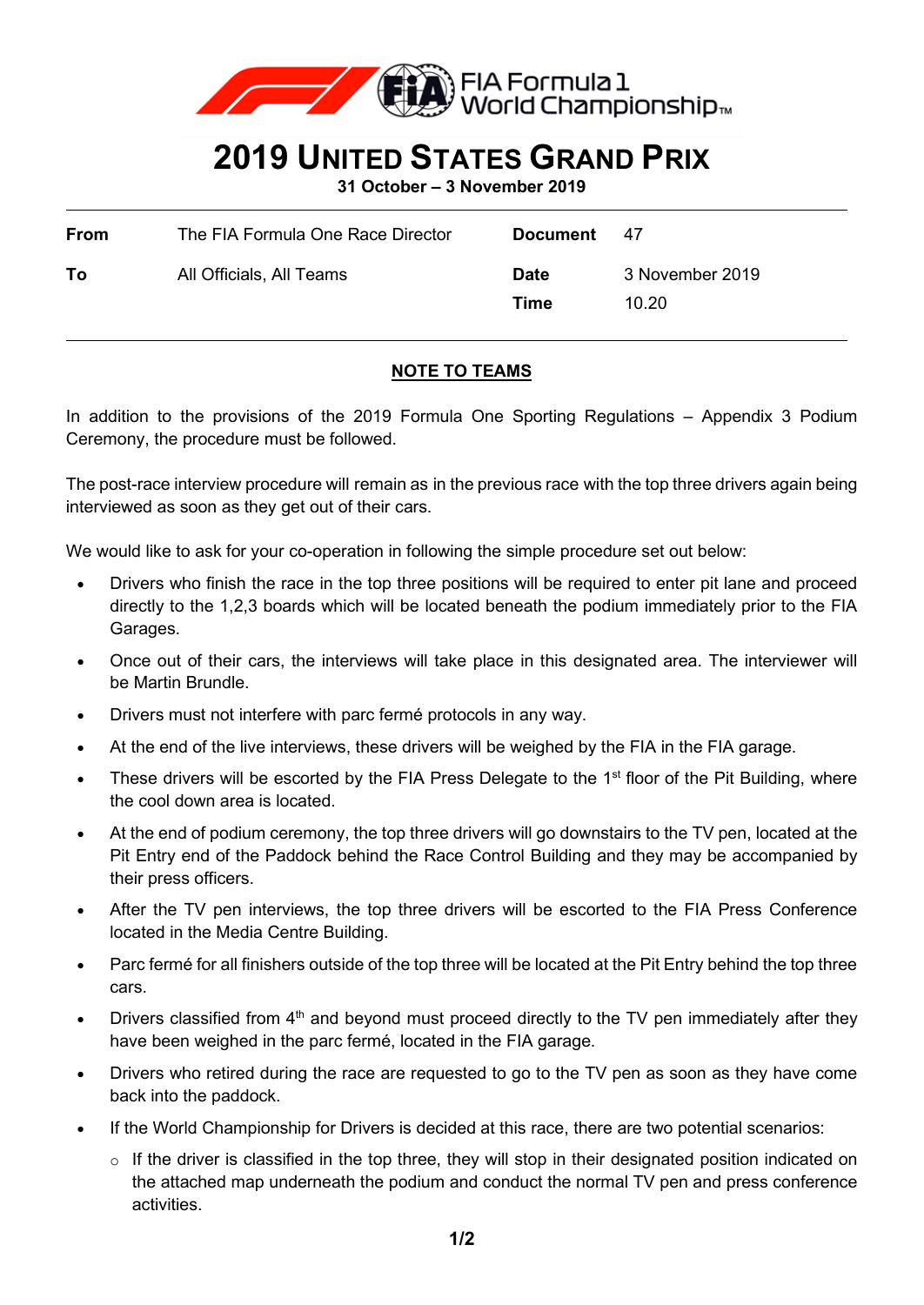

## **2019 UNITED STATES GRAND PRIX**

**31 October – 3 November 2019**

| <b>From</b> | The FIA Formula One Race Director | <b>Document</b>     | 47                       |
|-------------|-----------------------------------|---------------------|--------------------------|
| Τo          | All Officials, All Teams          | <b>Date</b><br>Time | 3 November 2019<br>10.20 |

## **NOTE TO TEAMS**

In addition to the provisions of the 2019 Formula One Sporting Regulations – Appendix 3 Podium Ceremony, the procedure must be followed.

The post-race interview procedure will remain as in the previous race with the top three drivers again being interviewed as soon as they get out of their cars.

We would like to ask for your co-operation in following the simple procedure set out below:

- Drivers who finish the race in the top three positions will be required to enter pit lane and proceed directly to the 1,2,3 boards which will be located beneath the podium immediately prior to the FIA Garages.
- Once out of their cars, the interviews will take place in this designated area. The interviewer will be Martin Brundle.
- Drivers must not interfere with parc fermé protocols in any way.
- At the end of the live interviews, these drivers will be weighed by the FIA in the FIA garage.
- These drivers will be escorted by the FIA Press Delegate to the  $1<sup>st</sup>$  floor of the Pit Building, where the cool down area is located.
- At the end of podium ceremony, the top three drivers will go downstairs to the TV pen, located at the Pit Entry end of the Paddock behind the Race Control Building and they may be accompanied by their press officers.
- After the TV pen interviews, the top three drivers will be escorted to the FIA Press Conference located in the Media Centre Building.
- Parc fermé for all finishers outside of the top three will be located at the Pit Entry behind the top three cars.
- Drivers classified from 4<sup>th</sup> and beyond must proceed directly to the TV pen immediately after they have been weighed in the parc fermé, located in the FIA garage.
- Drivers who retired during the race are requested to go to the TV pen as soon as they have come back into the paddock.
- If the World Championship for Drivers is decided at this race, there are two potential scenarios:
	- $\circ$  If the driver is classified in the top three, they will stop in their designated position indicated on the attached map underneath the podium and conduct the normal TV pen and press conference activities.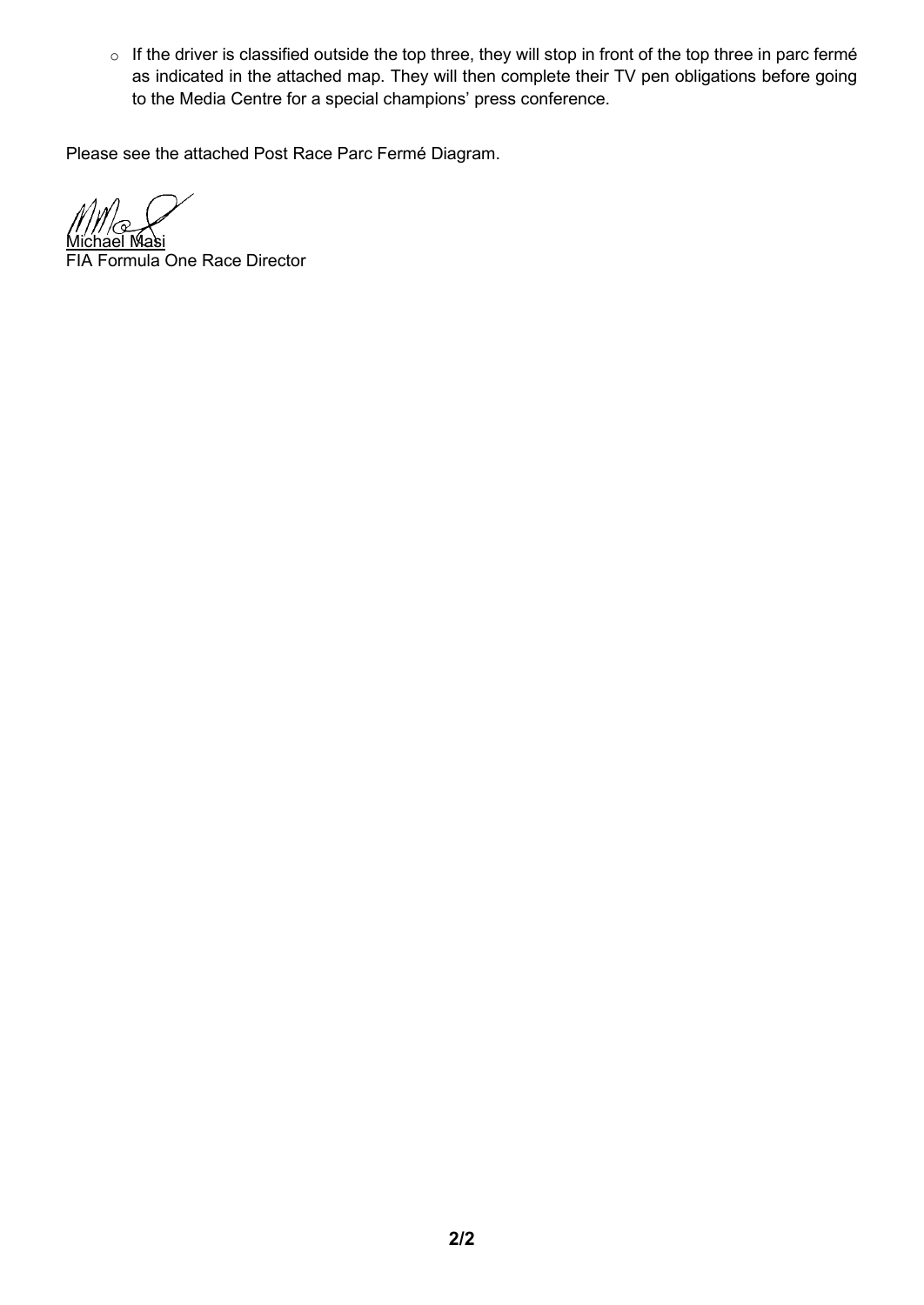o If the driver is classified outside the top three, they will stop in front of the top three in parc fermé as indicated in the attached map. They will then complete their TV pen obligations before going to the Media Centre for a special champions' press conference.

Please see the attached Post Race Parc Fermé Diagram.

<u>Michael Masi</u>

FIA Formula One Race Director